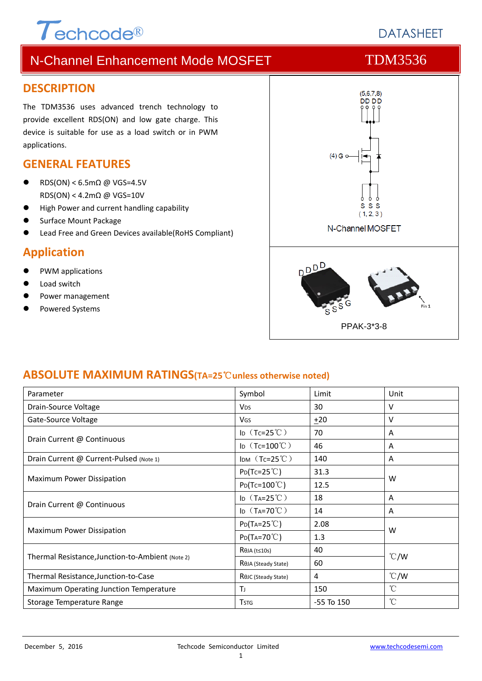# **DESCRIPTION**

The TDM3536 uses advanced trench technology to provide excellent RDS(ON) and low gate charge. This device is suitable for use as a load switch or in PWM applications.

### **GENERAL FEATURES**

 RDS(ON) < 6.5mΩ @ VGS=4.5V RDS(ON) < 4.2mΩ @ VGS=10V

 $\tau$ <sub>echcode®</sub>

- High Power and current handling capability
- Surface Mount Package
- Lead Free and Green Devices available(RoHS Compliant)

### **Application**

- PWM applications
- Load switch
- Power management
- Powered Systems



#### **ABSOLUTE MAXIMUM RATINGS(TA=25**℃**unless otherwise noted)**

| Parameter                                        | Symbol                           | Limit          | Unit          |  |
|--------------------------------------------------|----------------------------------|----------------|---------------|--|
| Drain-Source Voltage                             | <b>V<sub>DS</sub></b>            | 30             | v             |  |
| Gate-Source Voltage                              | <b>VGS</b>                       | ±20            | V             |  |
| Drain Current @ Continuous                       | ID $(Tc=25^{\circ}C)$            | 70             | Α             |  |
|                                                  | ID $(Tc=100^{\circ}C)$           | 46             | A             |  |
| Drain Current @ Current-Pulsed (Note 1)          | IDM $(Tc=25^{\circ}C)$           | 140            | A             |  |
| Maximum Power Dissipation                        | $P_{D}(Tc=25^{\circ}C)$          | 31.3           | W             |  |
|                                                  | $P_{D}(Tc=100^{\circ}C)$         | 12.5           |               |  |
| Drain Current @ Continuous                       | ID $(T_A=25^{\circ}C)$           | 18             | A             |  |
|                                                  | ID $(T_A=70^{\circ}C)$           | 14             | A             |  |
| Maximum Power Dissipation                        | $P_{D}(T_{A}=25^{\circ}C)$       | 2.08           | W             |  |
|                                                  | $P_{D}(Ta=70^{\circ}C)$          | 1.3            |               |  |
| Thermal Resistance, Junction-to-Ambient (Note 2) | $R\theta$ JA (t≤10s)             | 40             | $\degree$ C/W |  |
|                                                  | R <sub>OJ</sub> A (Steady State) | 60             |               |  |
| Thermal Resistance, Junction-to-Case             | ROJC (Steady State)              | 4              | $\degree$ C/W |  |
| Maximum Operating Junction Temperature           | Τı                               | 150            | $^{\circ}$ C  |  |
| Storage Temperature Range                        | <b>T</b> <sub>STG</sub>          | $-55$ To $150$ | °C            |  |

# N-Channel Enhancement Mode MOSFET TOM3536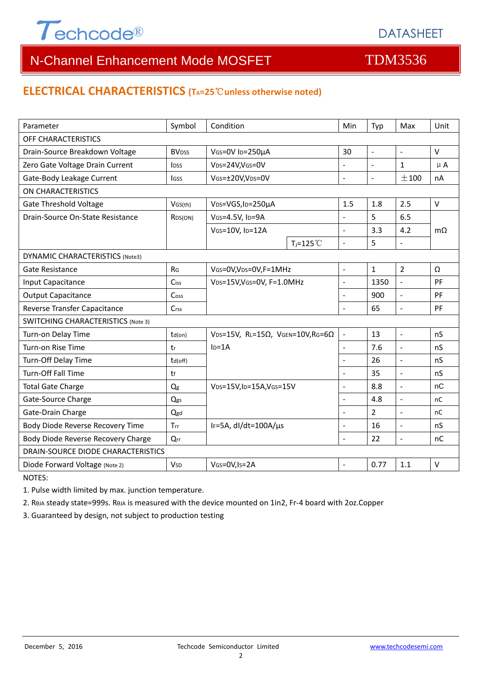

## N-Channel Enhancement Mode MOSFET TDM3536

### **ELECTRICAL CHARACTERISTICS (TA=25**℃**unless otherwise noted)**

| Parameter                                 | Symbol                   | Condition                                                    |                     | Min                      | Typ            | Max                      | Unit      |  |  |  |
|-------------------------------------------|--------------------------|--------------------------------------------------------------|---------------------|--------------------------|----------------|--------------------------|-----------|--|--|--|
| OFF CHARACTERISTICS                       |                          |                                                              |                     |                          |                |                          |           |  |  |  |
| Drain-Source Breakdown Voltage            | <b>BV</b> <sub>DSS</sub> | VGS=0V ID=250µA                                              |                     | 30                       | $\blacksquare$ | $\blacksquare$           | $\vee$    |  |  |  |
| Zero Gate Voltage Drain Current           | <b>IDSS</b>              | V <sub>DS</sub> =24V,VGS=0V                                  |                     | $\sim$                   |                | $\mathbf{1}$             | $\mu$ A   |  |  |  |
| Gate-Body Leakage Current                 | <b>I</b> GSS             | VGS=±20V,VDS=0V                                              |                     | $\overline{a}$           | ÷,             | ±100                     | nA        |  |  |  |
| <b>ON CHARACTERISTICS</b>                 |                          |                                                              |                     |                          |                |                          |           |  |  |  |
| <b>Gate Threshold Voltage</b>             | VGS(th)                  | V <sub>DS</sub> =VGS, I <sub>D</sub> =250µA                  |                     | 1.5                      | 1.8            | 2.5                      | $\vee$    |  |  |  |
| Drain-Source On-State Resistance          | R <sub>DS</sub> (ON)     | VGS=4.5V, ID=9A<br>VGS=10V, ID=12A                           |                     |                          | 5              | 6.5                      | $m\Omega$ |  |  |  |
|                                           |                          |                                                              |                     | $\mathbf{r}$             | 3.3            | 4.2                      |           |  |  |  |
|                                           |                          |                                                              | $T_1 = 125^{\circ}$ | $\overline{\phantom{a}}$ | 5              | $\overline{\phantom{a}}$ |           |  |  |  |
| <b>DYNAMIC CHARACTERISTICS (Note3)</b>    |                          |                                                              |                     |                          |                |                          |           |  |  |  |
| Gate Resistance                           | R <sub>G</sub>           | VGS=0V, VDS=0V, F=1MHz                                       |                     | $\sim$                   | $\mathbf{1}$   | $\overline{2}$           | Ω         |  |  |  |
| Input Capacitance                         | Ciss                     | VDS=15V, VGS=0V, F=1.0MHz                                    |                     | $\bar{\phantom{a}}$      | 1350           | $\overline{a}$           | PF        |  |  |  |
| <b>Output Capacitance</b>                 | Coss                     |                                                              |                     | $\blacksquare$           | 900            | $\overline{a}$           | PF        |  |  |  |
| Reverse Transfer Capacitance              | Crss                     |                                                              |                     | $\overline{\phantom{a}}$ | 65             | $\bar{\mathcal{L}}$      | PF        |  |  |  |
| <b>SWITCHING CHARACTERISTICS (Note 3)</b> |                          |                                                              |                     |                          |                |                          |           |  |  |  |
| Turn-on Delay Time                        | td(on)                   | VDS=15V, RL=15 $\Omega$ , VGEN=10V, RG=6 $\Omega$<br>$ID=1A$ |                     | $\overline{\phantom{a}}$ | 13             | $\Box$                   | nS        |  |  |  |
| Turn-on Rise Time                         | tr                       |                                                              |                     | $\blacksquare$           | 7.6            | $\overline{a}$           | nS        |  |  |  |
| Turn-Off Delay Time                       | td(off)                  |                                                              |                     |                          | 26             | ÷,                       | nS        |  |  |  |
| <b>Turn-Off Fall Time</b>                 | tf                       |                                                              |                     | L.                       | 35             | $\overline{a}$           | nS        |  |  |  |
| <b>Total Gate Charge</b>                  | Qg                       | VDS=15V,ID=15A,VGS=15V                                       |                     | $\overline{\phantom{a}}$ | 8.8            | $\mathbf{r}$             | nC        |  |  |  |
| Gate-Source Charge                        | Qgs                      |                                                              |                     | $\overline{\phantom{a}}$ | 4.8            | $\Box$                   | nC        |  |  |  |
| Gate-Drain Charge                         | Qgd                      |                                                              |                     | $\overline{a}$           | $\overline{2}$ | $\overline{a}$           | nC        |  |  |  |
| Body Diode Reverse Recovery Time          | Trr                      | IF=5A, dl/dt=100A/µs                                         |                     | $\overline{a}$           | 16             | $\overline{a}$           | nS        |  |  |  |
| Body Diode Reverse Recovery Charge        | Qrr                      |                                                              |                     | $\sim$                   | 22             | $\overline{\phantom{a}}$ | nC        |  |  |  |
| DRAIN-SOURCE DIODE CHARACTERISTICS        |                          |                                                              |                     |                          |                |                          |           |  |  |  |
| Diode Forward Voltage (Note 2)            | <b>V<sub>SD</sub></b>    | VGS=0V, Is=2A                                                |                     |                          | 0.77           | 1.1                      | $\vee$    |  |  |  |

NOTES:

1. Pulse width limited by max. junction temperature.

2. RθJA steady state=999s. RθJA is measured with the device mounted on 1in2, Fr‐4 board with 2oz.Copper

3. Guaranteed by design, not subject to production testing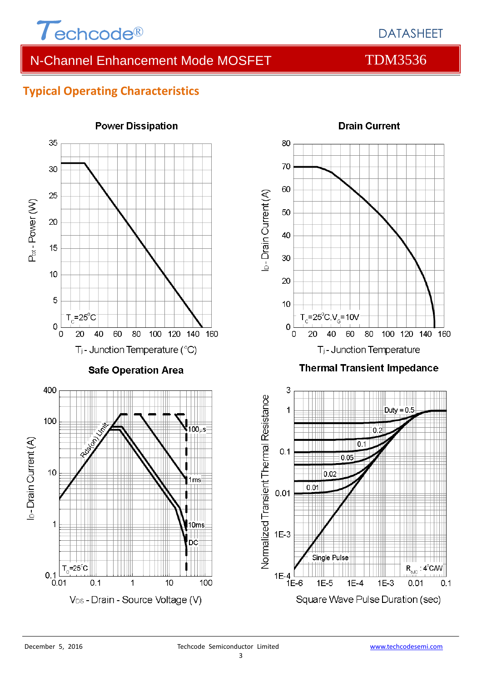

## N-Channel Enhancement Mode MOSFET TOM3536

### **Typical Operating Characteristics**



# **Drain Current**

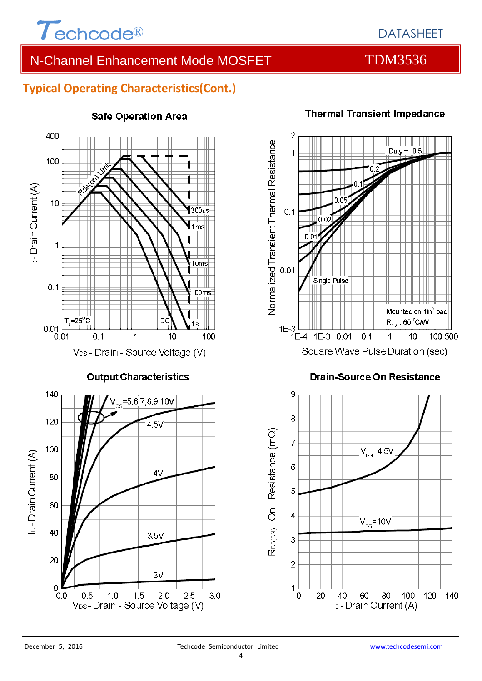

## DATASHEET

## N-Channel Enhancement Mode MOSFET TOM3536

### **Typical Operating Characteristics(Cont.)**



#### **Safe Operation Area**



## **Drain-Source On Resistance**



#### **Thermal Transient Impedance**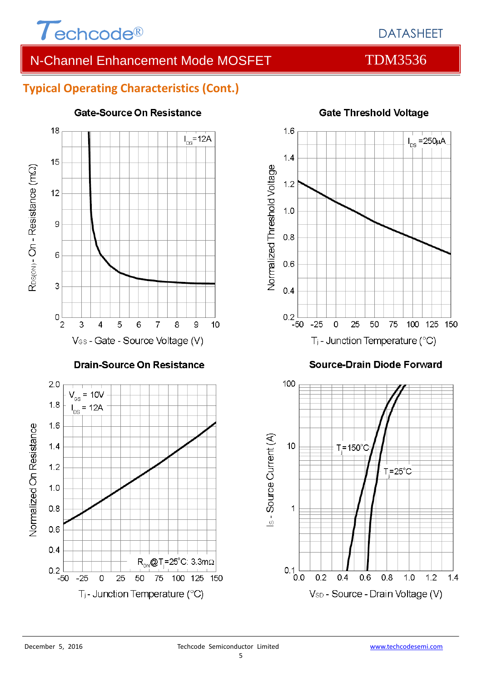

## N-Channel Enhancement Mode MOSFET TOM3536

### **Typical Operating Characteristics (Cont.)**



#### **Gate-Source On Resistance**



### **Gate Threshold Voltage**

**Source-Drain Diode Forward** 

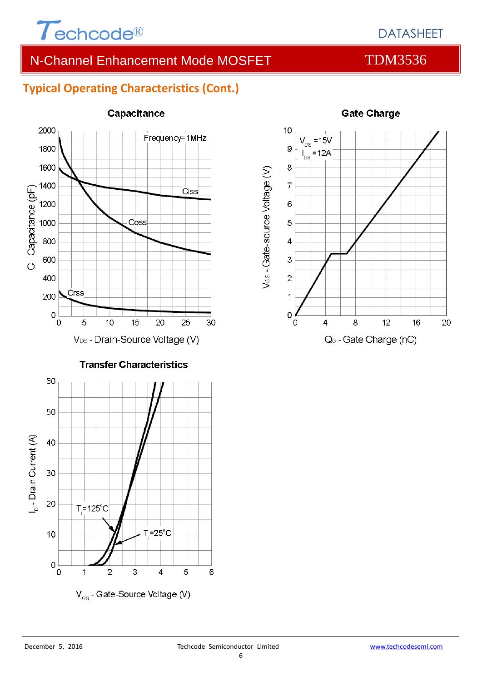

## N-Channel Enhancement Mode MOSFET TOM3536

## **Typical Operating Characteristics (Cont.)**



#### Capacitance



#### **Gate Charge**

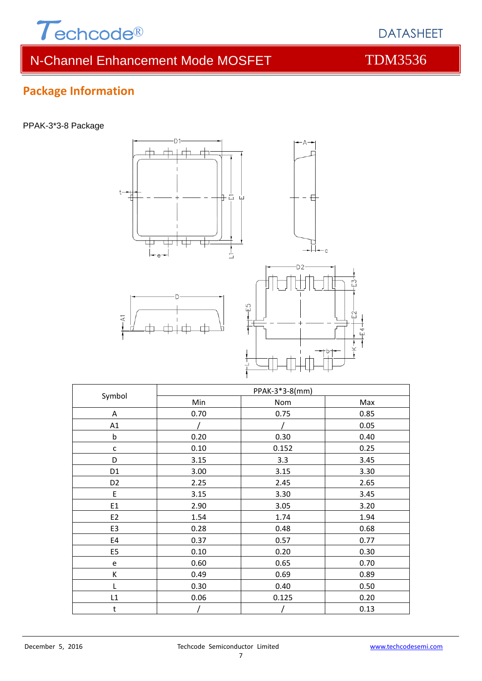

## N-Channel Enhancement Mode MOSFET TDM3536

 $\Box$ 



A 0.70 0.75 0.85 A1 / / / / 0.05 b 0.20 0.30 0.40 c 0.10 0.152 0.25 D 3.15 3.3 3.45 D1 3.00 3.15 3.30 D2 2.25 2.45 2.65 E 3.15 3.30 3.45 E1 2.90 3.05 3.20 E2 1.54 1.74 1.94 E3 0.28 0.48 0.68 E4 0.37 0.57 0.77 E5 0.10 0.20 0.30 e 0.60 0.65 0.70 K 0.49 0.69 0.89 L 0.30 0.40 0.50 L1 0.06 0.125 0.20 t / / / / 0.13

Min Nom Nom Max

Symbol PPAK-3\*3-8(mm)

# **Package Information**

#### PPAK-3\*3-8 Package